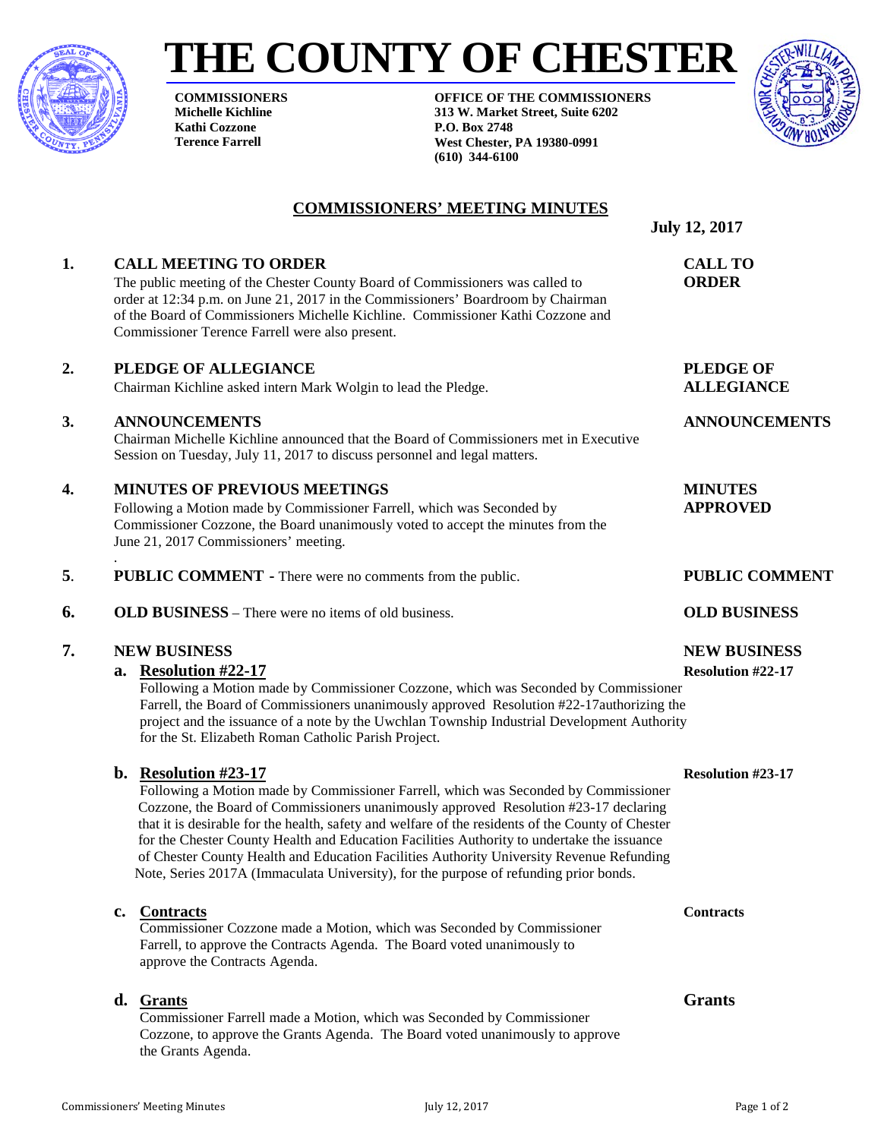

# **THE COUNTY OF CHESTER**

**COMMISSIONERS Michelle Kichline Kathi Cozzone Terence Farrell**

**OFFICE OF THE COMMISSIONERS 313 W. Market Street, Suite 6202 P.O. Box 2748 West Chester, PA 19380-0991 (610) 344-6100**



### **COMMISSIONERS' MEETING MINUTES**

**1. CALL MEETING TO ORDER CALL TO** The public meeting of the Chester County Board of Commissioners was called to **ORDER**

 **July 12, 2017**

### **2. PLEDGE OF ALLEGIANCE PLEDGE OF** Chairman Kichline asked intern Mark Wolgin to lead the Pledge. **ALLEGIANCE**

### **3. ANNOUNCEMENTS ANNOUNCEMENTS**

Chairman Michelle Kichline announced that the Board of Commissioners met in Executive Session on Tuesday, July 11, 2017 to discuss personnel and legal matters.

### **4. MINUTES OF PREVIOUS MEETINGS MINUTES**

Following a Motion made by Commissioner Farrell, which was Seconded by **APPROVED** Commissioner Cozzone, the Board unanimously voted to accept the minutes from the June 21, 2017 Commissioners' meeting.

order at 12:34 p.m. on June 21, 2017 in the Commissioners' Boardroom by Chairman of the Board of Commissioners Michelle Kichline. Commissioner Kathi Cozzone and

. **5**. **PUBLIC COMMENT -** There were no comments from the public. **PUBLIC COMMENT**

### **6. OLD BUSINESS** – There were no items of old business. **OLD BUSINESS**

Commissioner Terence Farrell were also present.

### **7. NEW BUSINESS NEW BUSINESS**

### **a. Resolution #22-17 Resolution #22-17**

Following a Motion made by Commissioner Cozzone, which was Seconded by Commissioner Farrell, the Board of Commissioners unanimously approved Resolution #22-17authorizing the project and the issuance of a note by the Uwchlan Township Industrial Development Authority for the St. Elizabeth Roman Catholic Parish Project.

### **b. Resolution #23-17 Resolution #23-17**

Following a Motion made by Commissioner Farrell, which was Seconded by Commissioner Cozzone, the Board of Commissioners unanimously approved Resolution #23-17 declaring that it is desirable for the health, safety and welfare of the residents of the County of Chester for the Chester County Health and Education Facilities Authority to undertake the issuance of Chester County Health and Education Facilities Authority University Revenue Refunding Note, Series 2017A (Immaculata University), for the purpose of refunding prior bonds.

### **c. Contracts Contracts**

Commissioner Cozzone made a Motion, which was Seconded by Commissioner Farrell, to approve the Contracts Agenda. The Board voted unanimously to approve the Contracts Agenda.

### **d. Grants Grants**

Commissioner Farrell made a Motion, which was Seconded by Commissioner Cozzone, to approve the Grants Agenda. The Board voted unanimously to approve the Grants Agenda.